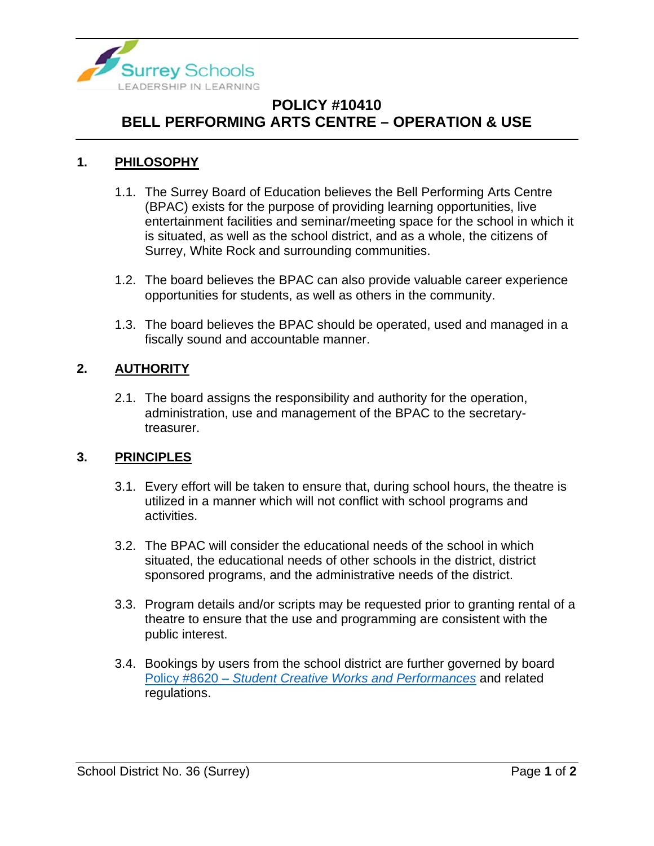

# **POLICY #10410 BELL PERFORMING ARTS CENTRE – OPERATION & USE**

### **1. PHILOSOPHY**

- 1.1. The Surrey Board of Education believes the Bell Performing Arts Centre (BPAC) exists for the purpose of providing learning opportunities, live entertainment facilities and seminar/meeting space for the school in which it is situated, as well as the school district, and as a whole, the citizens of Surrey, White Rock and surrounding communities.
- 1.2. The board believes the BPAC can also provide valuable career experience opportunities for students, as well as others in the community.
- 1.3. The board believes the BPAC should be operated, used and managed in a fiscally sound and accountable manner.

### **2. AUTHORITY**

2.1. The board assigns the responsibility and authority for the operation, administration, use and management of the BPAC to the secretarytreasurer.

#### **3. PRINCIPLES**

- 3.1. Every effort will be taken to ensure that, during school hours, the theatre is utilized in a manner which will not conflict with school programs and activities.
- 3.2. The BPAC will consider the educational needs of the school in which situated, the educational needs of other schools in the district, district sponsored programs, and the administrative needs of the district.
- 3.3. Program details and/or scripts may be requested prior to granting rental of a theatre to ensure that the use and programming are consistent with the public interest.
- 3.4. Bookings by users from the school district are further governed by board Policy #8620 – *[Student Creative Works and Performances](https://www.surreyschools.ca/departments/SECT/PoliciesRegulations/section_8000/Documents/8620%20Policy.pdf)* and related regulations.